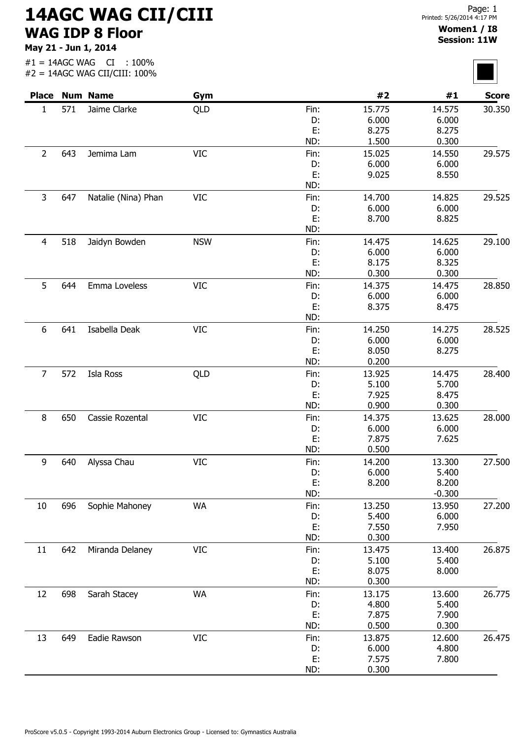## 14AGC WAG CII/CIII WAG IDP 8 Floor

May 21 - Jun 1, 2014

#1 = 14AGC WAG CI : 100%

#2 = 14AGC WAG CII/CIII: 100% Place Num Name  $Gym$  6ym  $\#2$   $\#1$  Score 1 571 Jaime Clarke QLD 15.775 30.350 6.000 8.275 1.500 14.575 6.000 8.275 0.300 Fin: D: E: ND: 2 643 Jemima Lam VIC 15.025 29.575 6.000 9.025 14.550 6.000 8.550 Fin: D: E: ND: 3 647 Natalie (Nina) Phan VIC 14.700 14.825 29.525 6.000 8.700 14.825 6.000 8.825 Fin: D: E: ND: 4 518 Jaidyn Bowden NSW 14.475 29.100 6.000 8.175 0.300 14.625 6.000 8.325 0.300 Fin: D: E: ND: 5 644 Emma Loveless VIC 16.1 Fin: 14.375 14.475 28.850 6.000 8.375 14.475 6.000 8.475 Fin: D: E: ND: 6 641 Isabella Deak VIC 14.250 28.525 6.000 8.050 0.200 14.275 6.000 8.275 Fin: D: E: ND: 7 572 Isla Ross QLD 13.925 28.400 5.100 7.925 0.900 14.475 5.700 8.475 0.300 Fin: D: E: ND: 8 650 Cassie Rozental  $VIC$  14.375 13.625 28.000 6.000 7.875 0.500 13.625 6.000 7.625 Fin: D: E: ND: 9 640 Alyssa Chau VIC 14.200 27.500 6.000 8.200 13.300 5.400 8.200 -0.300 Fin: D: E: ND: 10 696 Sophie Mahoney MA 13.250 13.950 27.200 5.400 7.550 0.300 13.950 6.000 7.950 Fin: D: E: ND: 11 642 Miranda Delaney VIC **Fin:** 13.475 13.400 26.875 5.100 8.075 0.300 13.400 5.400 8.000 Fin: D: E: ND: 12 698 Sarah Stacey WA 13.175 26.775 4.800 7.875 0.500 13.600 5.400 7.900 0.300 Fin: D: E: ND: 13 649 Eadie Rawson VIC 13.875 26.475 6.000 7.575 0.300 12.600 4.800 7.800 Fin: D: E: ND:



Page: 1

Women1 / I8 Session: 11W